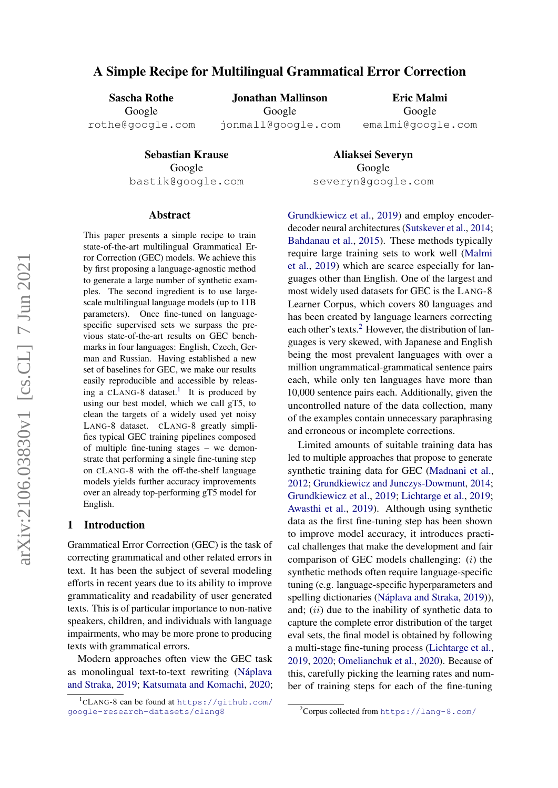# A Simple Recipe for Multilingual Grammatical Error Correction

Sascha Rothe Google

Jonathan Mallinson Google jonmall@google.com

Eric Malmi Google emalmi@google.com

rothe@google.com

Sebastian Krause Google bastik@google.com

Aliaksei Severyn Google severyn@google.com

### Abstract

This paper presents a simple recipe to train state-of-the-art multilingual Grammatical Error Correction (GEC) models. We achieve this by first proposing a language-agnostic method to generate a large number of synthetic examples. The second ingredient is to use largescale multilingual language models (up to 11B parameters). Once fine-tuned on languagespecific supervised sets we surpass the previous state-of-the-art results on GEC benchmarks in four languages: English, Czech, German and Russian. Having established a new set of baselines for GEC, we make our results easily reproducible and accessible by releas-ing a CLANG-8 dataset.<sup>[1](#page-0-0)</sup> It is produced by using our best model, which we call gT5, to clean the targets of a widely used yet noisy LANG-8 dataset. CLANG-8 greatly simplifies typical GEC training pipelines composed of multiple fine-tuning stages – we demonstrate that performing a single fine-tuning step on CLANG-8 with the off-the-shelf language models yields further accuracy improvements over an already top-performing gT5 model for English.

### 1 Introduction

Grammatical Error Correction (GEC) is the task of correcting grammatical and other related errors in text. It has been the subject of several modeling efforts in recent years due to its ability to improve grammaticality and readability of user generated texts. This is of particular importance to non-native speakers, children, and individuals with language impairments, who may be more prone to producing texts with grammatical errors.

Modern approaches often view the GEC task as monolingual text-to-text rewriting (Náplava [and Straka,](#page-5-0) [2019;](#page-5-0) [Katsumata and Komachi,](#page-5-1) [2020;](#page-5-1) [Grundkiewicz et al.,](#page-5-2) [2019\)](#page-5-2) and employ encoderdecoder neural architectures [\(Sutskever et al.,](#page-5-3) [2014;](#page-5-3) [Bahdanau et al.,](#page-4-0) [2015\)](#page-4-0). These methods typically require large training sets to work well [\(Malmi](#page-5-4) [et al.,](#page-5-4) [2019\)](#page-5-4) which are scarce especially for languages other than English. One of the largest and most widely used datasets for GEC is the LANG-8 Learner Corpus, which covers 80 languages and has been created by language learners correcting each other's texts.<sup>[2](#page-0-1)</sup> However, the distribution of languages is very skewed, with Japanese and English being the most prevalent languages with over a million ungrammatical-grammatical sentence pairs each, while only ten languages have more than 10,000 sentence pairs each. Additionally, given the uncontrolled nature of the data collection, many of the examples contain unnecessary paraphrasing and erroneous or incomplete corrections.

Limited amounts of suitable training data has led to multiple approaches that propose to generate synthetic training data for GEC [\(Madnani et al.,](#page-5-5) [2012;](#page-5-5) [Grundkiewicz and Junczys-Dowmunt,](#page-4-1) [2014;](#page-4-1) [Grundkiewicz et al.,](#page-5-2) [2019;](#page-5-2) [Lichtarge et al.,](#page-5-6) [2019;](#page-5-6) [Awasthi et al.,](#page-4-2) [2019\)](#page-4-2). Although using synthetic data as the first fine-tuning step has been shown to improve model accuracy, it introduces practical challenges that make the development and fair comparison of GEC models challenging: (i) the synthetic methods often require language-specific tuning (e.g. language-specific hyperparameters and spelling dictionaries (Náplava and Straka, [2019\)](#page-5-0)), and;  $(ii)$  due to the inability of synthetic data to capture the complete error distribution of the target eval sets, the final model is obtained by following a multi-stage fine-tuning process [\(Lichtarge et al.,](#page-5-6) [2019,](#page-5-6) [2020;](#page-5-7) [Omelianchuk et al.,](#page-5-8) [2020\)](#page-5-8). Because of this, carefully picking the learning rates and number of training steps for each of the fine-tuning

<span id="page-0-0"></span><sup>1</sup> CLANG-8 can be found at [https://github.com/](https://github.com/google-research-datasets/clang8) [google-research-datasets/clang8](https://github.com/google-research-datasets/clang8)

<span id="page-0-1"></span><sup>2</sup>Corpus collected from <https://lang-8.com/>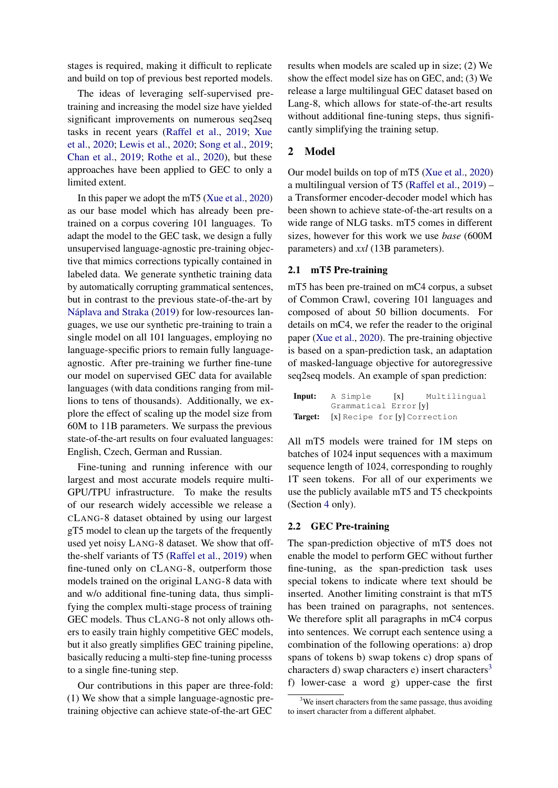stages is required, making it difficult to replicate and build on top of previous best reported models.

The ideas of leveraging self-supervised pretraining and increasing the model size have yielded significant improvements on numerous seq2seq tasks in recent years [\(Raffel et al.,](#page-5-9) [2019;](#page-5-9) [Xue](#page-5-10) [et al.,](#page-5-10) [2020;](#page-5-10) [Lewis et al.,](#page-5-11) [2020;](#page-5-11) [Song et al.,](#page-5-12) [2019;](#page-5-12) [Chan et al.,](#page-4-3) [2019;](#page-4-3) [Rothe et al.,](#page-5-13) [2020\)](#page-5-13), but these approaches have been applied to GEC to only a limited extent.

In this paper we adopt the mT5 [\(Xue et al.,](#page-5-10) [2020\)](#page-5-10) as our base model which has already been pretrained on a corpus covering 101 languages. To adapt the model to the GEC task, we design a fully unsupervised language-agnostic pre-training objective that mimics corrections typically contained in labeled data. We generate synthetic training data by automatically corrupting grammatical sentences, but in contrast to the previous state-of-the-art by Náplava and Straka [\(2019\)](#page-5-0) for low-resources languages, we use our synthetic pre-training to train a single model on all 101 languages, employing no language-specific priors to remain fully languageagnostic. After pre-training we further fine-tune our model on supervised GEC data for available languages (with data conditions ranging from millions to tens of thousands). Additionally, we explore the effect of scaling up the model size from 60M to 11B parameters. We surpass the previous state-of-the-art results on four evaluated languages: English, Czech, German and Russian.

Fine-tuning and running inference with our largest and most accurate models require multi-GPU/TPU infrastructure. To make the results of our research widely accessible we release a CLANG-8 dataset obtained by using our largest gT5 model to clean up the targets of the frequently used yet noisy LANG-8 dataset. We show that offthe-shelf variants of T5 [\(Raffel et al.,](#page-5-9) [2019\)](#page-5-9) when fine-tuned only on CLANG-8, outperform those models trained on the original LANG-8 data with and w/o additional fine-tuning data, thus simplifying the complex multi-stage process of training GEC models. Thus CLANG-8 not only allows others to easily train highly competitive GEC models, but it also greatly simplifies GEC training pipeline, basically reducing a multi-step fine-tuning processs to a single fine-tuning step.

Our contributions in this paper are three-fold: (1) We show that a simple language-agnostic pretraining objective can achieve state-of-the-art GEC results when models are scaled up in size; (2) We show the effect model size has on GEC, and; (3) We release a large multilingual GEC dataset based on Lang-8, which allows for state-of-the-art results without additional fine-tuning steps, thus significantly simplifying the training setup.

## 2 Model

Our model builds on top of mT5 [\(Xue et al.,](#page-5-10) [2020\)](#page-5-10) a multilingual version of T5 [\(Raffel et al.,](#page-5-9) [2019\)](#page-5-9) – a Transformer encoder-decoder model which has been shown to achieve state-of-the-art results on a wide range of NLG tasks. mT5 comes in different sizes, however for this work we use *base* (600M parameters) and *xxl* (13B parameters).

### <span id="page-1-1"></span>2.1 mT5 Pre-training

mT5 has been pre-trained on mC4 corpus, a subset of Common Crawl, covering 101 languages and composed of about 50 billion documents. For details on mC4, we refer the reader to the original paper [\(Xue et al.,](#page-5-10) [2020\)](#page-5-10). The pre-training objective is based on a span-prediction task, an adaptation of masked-language objective for autoregressive seq2seq models. An example of span prediction:

| Input: A Simple                              | [x] Multilingual |
|----------------------------------------------|------------------|
| Grammatical Error [y]                        |                  |
| <b>Target:</b> [x] Recipe for [y] Correction |                  |

All mT5 models were trained for 1M steps on batches of 1024 input sequences with a maximum sequence length of 1024, corresponding to roughly 1T seen tokens. For all of our experiments we use the publicly available mT5 and T5 checkpoints (Section [4](#page-2-0) only).

### <span id="page-1-2"></span>2.2 GEC Pre-training

The span-prediction objective of mT5 does not enable the model to perform GEC without further fine-tuning, as the span-prediction task uses special tokens to indicate where text should be inserted. Another limiting constraint is that mT5 has been trained on paragraphs, not sentences. We therefore split all paragraphs in mC4 corpus into sentences. We corrupt each sentence using a combination of the following operations: a) drop spans of tokens b) swap tokens c) drop spans of characters d) swap characters e) insert characters<sup>[3](#page-1-0)</sup> f) lower-case a word g) upper-case the first

<span id="page-1-0"></span> $3$ We insert characters from the same passage, thus avoiding to insert character from a different alphabet.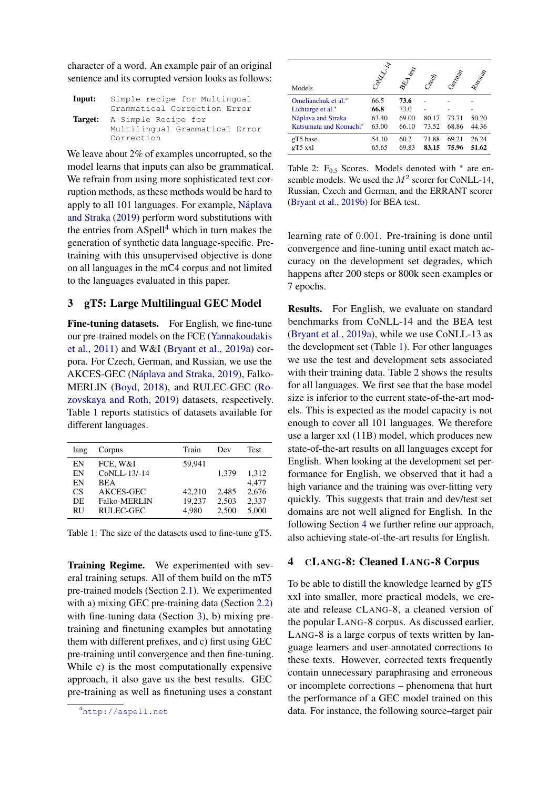character of a word. An example pair of an original sentence and its corrupted version looks as follows:

| Input: | Simple recipe for Multingual   |
|--------|--------------------------------|
|        | Grammatical Correction Error   |
|        | Target: A Simple Recipe for    |
|        | Multilingual Grammatical Error |
|        | Correction                     |

We leave about 2% of examples uncorrupted, so the model learns that inputs can also be grammatical. We refrain from using more sophisticated text corruption methods, as these methods would be hard to apply to all 101 languages. For example, Náplava [and Straka](#page-5-0) [\(2019\)](#page-5-0) perform word substitutions with the entries from ASpell<sup>[4](#page-2-1)</sup> which in turn makes the generation of synthetic data language-specific. Pretraining with this unsupervised objective is done on all languages in the mC4 corpus and not limited to the languages evaluated in this paper.

## 3 gT5: Large Multilingual GEC Model

<span id="page-2-3"></span>Fine-tuning datasets. For English, we fine-tune our pre-trained models on the FCE [\(Yannakoudakis](#page-5-14) [et al.,](#page-5-14) [2011\)](#page-5-14) and W&I [\(Bryant et al.,](#page-4-4) [2019a\)](#page-4-4) corpora. For Czech, German, and Russian, we use the AKCES-GEC (Náplava and Straka, [2019\)](#page-5-0), Falko-MERLIN [\(Boyd,](#page-4-5) [2018\)](#page-4-5), and RULEC-GEC [\(Ro](#page-5-15)[zovskaya and Roth,](#page-5-15) [2019\)](#page-5-15) datasets, respectively. Table [1](#page-2-2) reports statistics of datasets available for different languages.

<span id="page-2-2"></span>

| lang      | Corpus              | Train  | Dev   | <b>Test</b> |
|-----------|---------------------|--------|-------|-------------|
| EN        | FCE, W&I            | 59.941 |       |             |
| EN        | CoNLL-13/-14        |        | 1.379 | 1,312       |
| EN        | <b>BEA</b>          |        |       | 4,477       |
| <b>CS</b> | AKCES-GEC           | 42,210 | 2,485 | 2,676       |
| DE        | <b>Falko-MERLIN</b> | 19,237 | 2,503 | 2,337       |
| <b>RU</b> | RULEC-GEC           | 4.980  | 2,500 | 5,000       |

Table 1: The size of the datasets used to fine-tune gT5.

Training Regime. We experimented with several training setups. All of them build on the mT5 pre-trained models (Section [2.1\)](#page-1-1). We experimented with a) mixing GEC pre-training data (Section [2.2\)](#page-1-2) with fine-tuning data (Section [3\)](#page-2-3), b) mixing pretraining and finetuning examples but annotating them with different prefixes, and c) first using GEC pre-training until convergence and then fine-tuning. While c) is the most computationally expensive approach, it also gave us the best results. GEC pre-training as well as finetuning uses a constant

<span id="page-2-4"></span>

| Models                 | Control 14 | <b>BEA</b> test | Clean | Cemplat | Russian |
|------------------------|------------|-----------------|-------|---------|---------|
| Omelianchuk et al.*    | 66.5       | 73.6            |       |         |         |
| Lichtarge et al.*      | 66.8       | 73.0            |       |         |         |
| Náplava and Straka     | 63.40      | 69.00           | 80.17 | 73.71   | 50.20   |
| Katsumata and Komachi* | 63.00      | 66.10           | 73.52 | 68.86   | 44.36   |
| gT5 base               | 54.10      | 60.2            | 71.88 | 69.21   | 26.24   |
| gT5 xxl                | 65.65      | 69.83           | 83.15 | 75.96   | 51.62   |

Table 2:  $F_{0.5}$  Scores. Models denoted with  $*$  are ensemble models. We used the  $M^2$  scorer for CoNLL-14, Russian, Czech and German, and the ERRANT scorer [\(Bryant et al.,](#page-4-6) [2019b\)](#page-4-6) for BEA test.

learning rate of 0.001. Pre-training is done until convergence and fine-tuning until exact match accuracy on the development set degrades, which happens after 200 steps or 800k seen examples or 7 epochs.

Results. For English, we evaluate on standard benchmarks from CoNLL-14 and the BEA test [\(Bryant et al.,](#page-4-4) [2019a\)](#page-4-4), while we use CoNLL-13 as the development set (Table [1\)](#page-2-2). For other languages we use the test and development sets associated with their training data. Table [2](#page-2-4) shows the results for all languages. We first see that the base model size is inferior to the current state-of-the-art models. This is expected as the model capacity is not enough to cover all 101 languages. We therefore use a larger xxl (11B) model, which produces new state-of-the-art results on all languages except for English. When looking at the development set performance for English, we observed that it had a high variance and the training was over-fitting very quickly. This suggests that train and dev/test set domains are not well aligned for English. In the following Section [4](#page-2-0) we further refine our approach, also achieving state-of-the-art results for English.

### <span id="page-2-0"></span>4 CLANG-8: Cleaned LANG-8 Corpus

To be able to distill the knowledge learned by gT5 xxl into smaller, more practical models, we create and release CLANG-8, a cleaned version of the popular LANG-8 corpus. As discussed earlier, LANG-8 is a large corpus of texts written by language learners and user-annotated corrections to these texts. However, corrected texts frequently contain unnecessary paraphrasing and erroneous or incomplete corrections – phenomena that hurt the performance of a GEC model trained on this data. For instance, the following source–target pair

<span id="page-2-1"></span><sup>4</sup><http://aspell.net>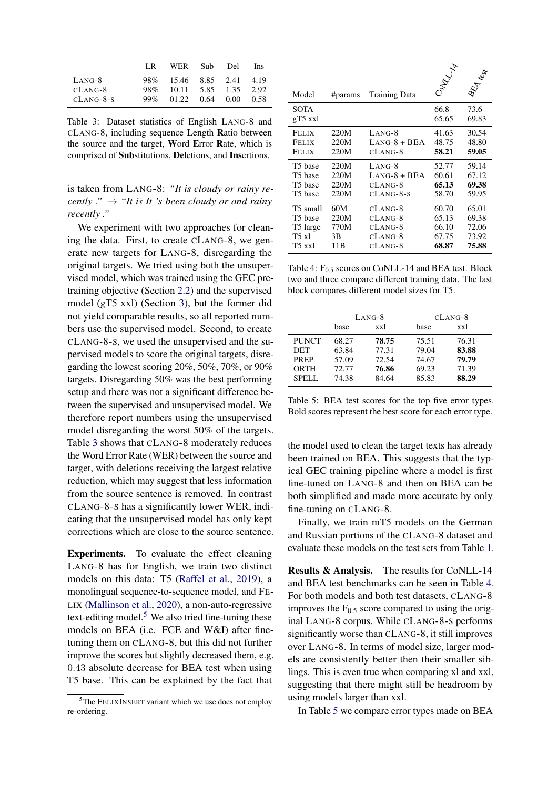<span id="page-3-0"></span>

|             | LR.    | WER.  | Sub- | Del  | Ins  |
|-------------|--------|-------|------|------|------|
| LANG-8      | 98%    | 15.46 | 8.85 | 2.41 | 4.19 |
| $CLANG-8$   | 98%    | 10.11 | 5.85 | 1.35 | 2.92 |
| $CLANG-8-S$ | $99\%$ | 01.22 | 0.64 | 0.00 | 0.58 |

Table 3: Dataset statistics of English LANG-8 and CLANG-8, including sequence Length Ratio between the source and the target, Word Error Rate, which is comprised of Substitutions, Deletions, and Insertions.

is taken from LANG-8: *"It is cloudy or rainy recently ."*  $\rightarrow$  "*It is It 's been cloudy or and rainy recently ."*

We experiment with two approaches for cleaning the data. First, to create CLANG-8, we generate new targets for LANG-8, disregarding the original targets. We tried using both the unsupervised model, which was trained using the GEC pretraining objective (Section [2.2\)](#page-1-2) and the supervised model (gT5 xxl) (Section [3\)](#page-2-3), but the former did not yield comparable results, so all reported numbers use the supervised model. Second, to create CLANG-8-S, we used the unsupervised and the supervised models to score the original targets, disregarding the lowest scoring 20%, 50%, 70%, or 90% targets. Disregarding 50% was the best performing setup and there was not a significant difference between the supervised and unsupervised model. We therefore report numbers using the unsupervised model disregarding the worst 50% of the targets. Table [3](#page-3-0) shows that CLANG-8 moderately reduces the Word Error Rate (WER) between the source and target, with deletions receiving the largest relative reduction, which may suggest that less information from the source sentence is removed. In contrast CLANG-8-S has a significantly lower WER, indicating that the unsupervised model has only kept corrections which are close to the source sentence.

Experiments. To evaluate the effect cleaning LANG-8 has for English, we train two distinct models on this data: T5 [\(Raffel et al.,](#page-5-9) [2019\)](#page-5-9), a monolingual sequence-to-sequence model, and FE-LIX [\(Mallinson et al.,](#page-5-16) [2020\)](#page-5-16), a non-auto-regressive text-editing model. $5$  We also tried fine-tuning these models on BEA (i.e. FCE and W&I) after finetuning them on CLANG-8, but this did not further improve the scores but slightly decreased them, e.g. 0.43 absolute decrease for BEA test when using T5 base. This can be explained by the fact that

<span id="page-3-2"></span>

| Model               | #params | <b>Training Data</b> | Jan Tala      | EA les        |
|---------------------|---------|----------------------|---------------|---------------|
| SOTA<br>gT5 xxl     |         |                      | 66.8<br>65.65 | 73.6<br>69.83 |
| Felix               | 220M    | $LANG-8$             | 41.63         | 30.54         |
| Felix               | 220M    | $LANG-8 + BEA$       | 48.75         | 48.80         |
| <b>FELIX</b>        | 220M    | $CLANG-8$            | 58.21         | 59.05         |
| T5 base             | 220M    | $LANG-8$             | 52.77         | 59.14         |
| T5 base             | 220M    | $LANG-8 + BEA$       | 60.61         | 67.12         |
| T <sub>5</sub> base | 220M    | $CLANG-8$            | 65.13         | 69.38         |
| T5 base             | 220M    | $CLANG-8-S$          | 58.70         | 59.95         |
| T5 small            | 60M     | $CLANG-8$            | 60.70         | 65.01         |
| T5 base             | 220M    | CLANG-8              | 65.13         | 69.38         |
| T5 large            | 770M    | CLANG-8              | 66.10         | 72.06         |
| T5 x1               | 3B      | $CLANG-8$            | 67.75         | 73.92         |
| T5 xxl              | 11B     | CLANG-8              | 68.87         | 75.88         |

Table 4:  $F_{0.5}$  scores on CoNLL-14 and BEA test. Block two and three compare different training data. The last block compares different model sizes for T5.

<span id="page-3-3"></span>

|              | $L$ ANG-8 |       | $CLANG-8$ |       |
|--------------|-----------|-------|-----------|-------|
|              | base      | xxl   | base      | xxl   |
| <b>PUNCT</b> | 68.27     | 78.75 | 75.51     | 76.31 |
| <b>DET</b>   | 63.84     | 77.31 | 79.04     | 83.88 |
| <b>PREP</b>  | 57.09     | 72.54 | 74.67     | 79.79 |
| ORTH         | 72.77     | 76.86 | 69.23     | 71.39 |
| SPELL.       | 74.38     | 84.64 | 85.83     | 88.29 |

Table 5: BEA test scores for the top five error types. Bold scores represent the best score for each error type.

the model used to clean the target texts has already been trained on BEA. This suggests that the typical GEC training pipeline where a model is first fine-tuned on LANG-8 and then on BEA can be both simplified and made more accurate by only fine-tuning on CLANG-8.

Finally, we train mT5 models on the German and Russian portions of the CLANG-8 dataset and evaluate these models on the test sets from Table [1.](#page-2-2)

Results & Analysis. The results for CoNLL-14 and BEA test benchmarks can be seen in Table [4.](#page-3-2) For both models and both test datasets, CLANG-8 improves the  $F<sub>0.5</sub>$  score compared to using the original LANG-8 corpus. While CLANG-8-S performs significantly worse than CLANG-8, it still improves over LANG-8. In terms of model size, larger models are consistently better then their smaller siblings. This is even true when comparing xl and xxl, suggesting that there might still be headroom by using models larger than xxl.

In Table [5](#page-3-3) we compare error types made on BEA

<span id="page-3-1"></span> $5$ The FELIXINSERT variant which we use does not employ re-ordering.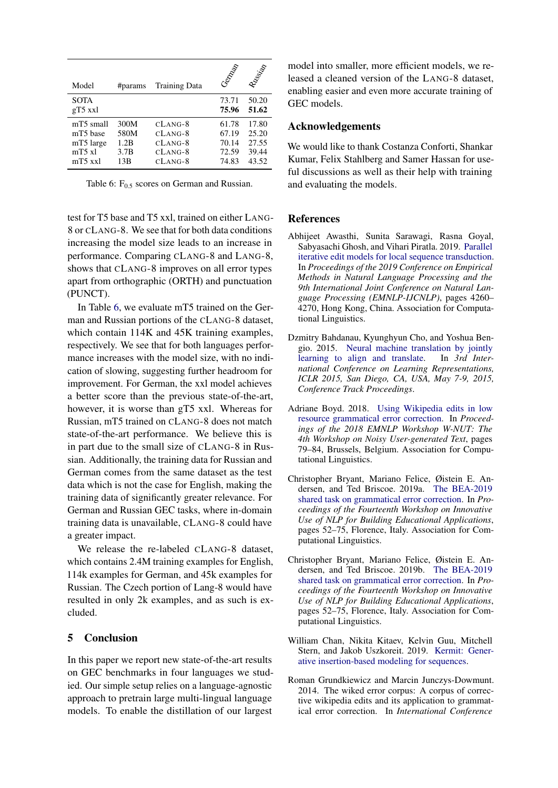<span id="page-4-7"></span>

| Model                                                       | #params                             | <b>Training Data</b>                                          | Centre                                    | Russian                                   |
|-------------------------------------------------------------|-------------------------------------|---------------------------------------------------------------|-------------------------------------------|-------------------------------------------|
| <b>SOTA</b><br>$gT5$ xxl                                    |                                     |                                                               | 73.71<br>75.96                            | 50.20<br>51.62                            |
| mT5 small<br>mT5 base<br>mT5 large<br>$mT5$ xl<br>$mT5$ xxl | 300M<br>580M<br>1.2B<br>3.7B<br>13B | $CLANG-8$<br>$CLANG-8$<br>$CLANG-8$<br>$CLANG-8$<br>$CLANG-8$ | 61.78<br>67.19<br>70.14<br>72.59<br>74.83 | 17.80<br>25.20<br>27.55<br>39.44<br>43.52 |

Table 6:  $F_{0.5}$  scores on German and Russian.

test for T5 base and T5 xxl, trained on either LANG-8 or CLANG-8. We see that for both data conditions increasing the model size leads to an increase in performance. Comparing CLANG-8 and LANG-8, shows that CLANG-8 improves on all error types apart from orthographic (ORTH) and punctuation (PUNCT).

In Table [6,](#page-4-7) we evaluate mT5 trained on the German and Russian portions of the CLANG-8 dataset, which contain 114K and 45K training examples, respectively. We see that for both languages performance increases with the model size, with no indication of slowing, suggesting further headroom for improvement. For German, the xxl model achieves a better score than the previous state-of-the-art, however, it is worse than gT5 xxl. Whereas for Russian, mT5 trained on CLANG-8 does not match state-of-the-art performance. We believe this is in part due to the small size of CLANG-8 in Russian. Additionally, the training data for Russian and German comes from the same dataset as the test data which is not the case for English, making the training data of significantly greater relevance. For German and Russian GEC tasks, where in-domain training data is unavailable, CLANG-8 could have a greater impact.

We release the re-labeled CLANG-8 dataset. which contains 2.4M training examples for English, 114k examples for German, and 45k examples for Russian. The Czech portion of Lang-8 would have resulted in only 2k examples, and as such is excluded.

### 5 Conclusion

In this paper we report new state-of-the-art results on GEC benchmarks in four languages we studied. Our simple setup relies on a language-agnostic approach to pretrain large multi-lingual language models. To enable the distillation of our largest

model into smaller, more efficient models, we released a cleaned version of the LANG-8 dataset, enabling easier and even more accurate training of GEC models.

#### Acknowledgements

We would like to thank Costanza Conforti, Shankar Kumar, Felix Stahlberg and Samer Hassan for useful discussions as well as their help with training and evaluating the models.

### **References**

- <span id="page-4-2"></span>Abhijeet Awasthi, Sunita Sarawagi, Rasna Goyal, Sabyasachi Ghosh, and Vihari Piratla. 2019. [Parallel](https://doi.org/10.18653/v1/D19-1435) [iterative edit models for local sequence transduction.](https://doi.org/10.18653/v1/D19-1435) In *Proceedings of the 2019 Conference on Empirical Methods in Natural Language Processing and the 9th International Joint Conference on Natural Language Processing (EMNLP-IJCNLP)*, pages 4260– 4270, Hong Kong, China. Association for Computational Linguistics.
- <span id="page-4-0"></span>Dzmitry Bahdanau, Kyunghyun Cho, and Yoshua Bengio. 2015. [Neural machine translation by jointly](http://arxiv.org/abs/1409.0473) [learning to align and translate.](http://arxiv.org/abs/1409.0473) In *3rd International Conference on Learning Representations, ICLR 2015, San Diego, CA, USA, May 7-9, 2015, Conference Track Proceedings*.
- <span id="page-4-5"></span>Adriane Boyd. 2018. [Using Wikipedia edits in low](https://doi.org/10.18653/v1/W18-6111) [resource grammatical error correction.](https://doi.org/10.18653/v1/W18-6111) In *Proceedings of the 2018 EMNLP Workshop W-NUT: The 4th Workshop on Noisy User-generated Text*, pages 79–84, Brussels, Belgium. Association for Computational Linguistics.
- <span id="page-4-4"></span>Christopher Bryant, Mariano Felice, Øistein E. Andersen, and Ted Briscoe. 2019a. [The BEA-2019](https://doi.org/10.18653/v1/W19-4406) [shared task on grammatical error correction.](https://doi.org/10.18653/v1/W19-4406) In *Proceedings of the Fourteenth Workshop on Innovative Use of NLP for Building Educational Applications*, pages 52–75, Florence, Italy. Association for Computational Linguistics.
- <span id="page-4-6"></span>Christopher Bryant, Mariano Felice, Øistein E. Andersen, and Ted Briscoe. 2019b. [The BEA-2019](https://doi.org/10.18653/v1/W19-4406) [shared task on grammatical error correction.](https://doi.org/10.18653/v1/W19-4406) In *Proceedings of the Fourteenth Workshop on Innovative Use of NLP for Building Educational Applications*, pages 52–75, Florence, Italy. Association for Computational Linguistics.
- <span id="page-4-3"></span>William Chan, Nikita Kitaev, Kelvin Guu, Mitchell Stern, and Jakob Uszkoreit. 2019. [Kermit: Gener](http://arxiv.org/abs/1906.01604)[ative insertion-based modeling for sequences.](http://arxiv.org/abs/1906.01604)
- <span id="page-4-1"></span>Roman Grundkiewicz and Marcin Junczys-Dowmunt. 2014. The wiked error corpus: A corpus of corrective wikipedia edits and its application to grammatical error correction. In *International Conference*